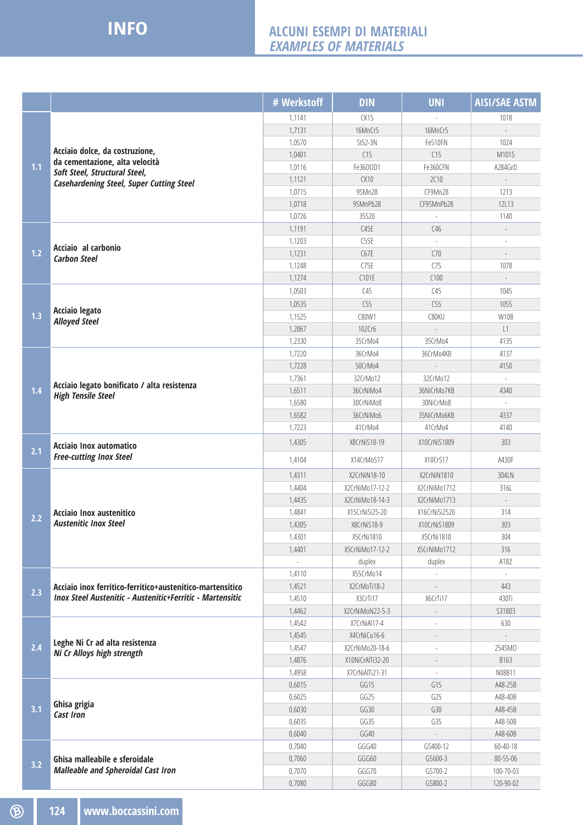## **INFO**

## **ALCUNI ESEMPI DI MATERIALI Examples of Materials**

|     |                                                                                                                                                      | # Werkstoff              | <b>DIN</b>                  | <b>UNI</b>     | <b>AISI/SAE ASTM</b>     |
|-----|------------------------------------------------------------------------------------------------------------------------------------------------------|--------------------------|-----------------------------|----------------|--------------------------|
| 1.1 | Acciaio dolce, da costruzione,<br>da cementazione, alta velocità<br>Soft Steel, Structural Steel,<br><b>Casehardening Steel, Super Cutting Steel</b> | 1,1141                   | CK15                        |                | 1018                     |
|     |                                                                                                                                                      | 1,7131                   | 16MnCr5                     | 16MnCr5        | $\overline{\phantom{a}}$ |
|     |                                                                                                                                                      | 1,0570                   | St52-3N                     | Fe510FN        | 1024                     |
|     |                                                                                                                                                      | 1,0401                   | C15                         | C15            | M1015                    |
|     |                                                                                                                                                      | 1,0116                   | Fe36DOD1                    | Fe360CFN       | A284GrD                  |
|     |                                                                                                                                                      | 1,1121                   | CK10                        | <b>2C10</b>    |                          |
|     |                                                                                                                                                      | 1,0715                   | 9SMn28                      | CF9Mn28        | 1213                     |
|     |                                                                                                                                                      | 1,0718                   | 9SMnPb28                    | CF9SMnPb28     | 12L13                    |
|     |                                                                                                                                                      | 1,0726                   | 35520                       |                | 1140                     |
| 1.2 | Acciaio al carbonio<br><b>Carbon Steel</b>                                                                                                           | 1,1191                   | C45E                        | C46            | $\overline{\phantom{a}}$ |
|     |                                                                                                                                                      | 1,1203                   | C55E                        |                |                          |
|     |                                                                                                                                                      | 1,1231                   | C67E                        | C70            | $\frac{1}{2}$            |
|     |                                                                                                                                                      | 1,1248                   | C75E                        | C75            | 1078                     |
|     |                                                                                                                                                      | 1,1274                   | C101E                       | C100           |                          |
|     | <b>Acciaio legato</b><br><b>Alloyed Steel</b>                                                                                                        | 1,0503                   | C45                         | C45            | 1045                     |
|     |                                                                                                                                                      | 1,0535                   | C55                         | C55            | 1055                     |
| 1.3 |                                                                                                                                                      | 1,1525                   | C80W1                       | C80KU          | W108                     |
|     |                                                                                                                                                      | 1,2067                   | 102Cr6                      |                | L1                       |
|     |                                                                                                                                                      | 1,2330                   | 35CrMo4                     | 35CrMo4        | 4135                     |
|     | Acciaio legato bonificato / alta resistenza<br><b>High Tensile Steel</b>                                                                             | 1,7220                   | 36CrMo4                     | 36CrMo4KB      | 4137                     |
|     |                                                                                                                                                      | 1,7228                   | 50CrMo4                     |                | 4150                     |
|     |                                                                                                                                                      | 1,7361                   | 32CrMo12                    | 32CrMo12       |                          |
| 1.4 |                                                                                                                                                      | 1,6511                   | 36CrNiMo4                   | 36NiCrMo7KB    | 4340                     |
|     |                                                                                                                                                      | 1,6580                   | 30CrNiMo8                   | 30NiCrMo8      |                          |
|     |                                                                                                                                                      | 1,6582                   | 36CrNiMo6                   | 35NiCrMo6KB    | 4337                     |
|     |                                                                                                                                                      | 1,7223                   | 41CrMo4                     | 41CrMo4        | 4140                     |
| 2.1 | Acciaio Inox automatico<br><b>Free-cutting Inox Steel</b>                                                                                            | 1,4305                   | X8CrNiS18-19                | X10CrNiS1809   | 303                      |
|     |                                                                                                                                                      | 1,4104                   | X14CrMoS17                  | X10CrS17       | A430F                    |
|     | Acciaio Inox austenitico<br><b>Austenitic Inox Steel</b>                                                                                             | 1,4311                   | X2CrNiN18-10                | X2CrNiN1810    | 304LN                    |
|     |                                                                                                                                                      | 1,4404                   | X2CrNiMo17-12-2             | X2CrNiMo1712   | 316L                     |
|     |                                                                                                                                                      | 1,4435                   | X2CrNiMo18-14-3             | X2CrNiMo1713   | $\overline{\phantom{a}}$ |
| 2.2 |                                                                                                                                                      | 1,4841                   | X15CrNiSi25-20              | X16CrNiSi2520  | 314                      |
|     |                                                                                                                                                      | 1,4305                   | X8CrNiS18-9                 | X10CrNiS1809   | 303                      |
|     |                                                                                                                                                      | 1,4301                   | X5CrNi1810                  | X5CrNi1810     | 304                      |
|     |                                                                                                                                                      | 1,4401                   | X5CrNiMo17-12-2             | X5CrNiMo1712   | 316                      |
|     |                                                                                                                                                      | $\overline{\phantom{a}}$ | duplex                      | duplex         | A182                     |
| 2.3 | Acciaio inox ferritico-ferritico+austenitico-martensitico<br><b>Inox Steel Austenitic - Austenitic+Ferritic - Martensitic</b>                        | 1,4110                   | X55CrMo14                   |                |                          |
|     |                                                                                                                                                      | 1,4521                   | X2CrMoTi18-2                |                | 443                      |
|     |                                                                                                                                                      | 1,4510                   | X3CrTi17<br>X2CrNiMoN22-5-3 | X6CrTi17       | 430Ti                    |
|     |                                                                                                                                                      | 1,4462                   | X7CrNiAl17-4                |                | S31803                   |
| 2.4 | Leghe Ni Cr ad alta resistenza<br>Ni Cr Alloys high strength                                                                                         | 1,4542<br>1,4545         | X4CrNiCu16-6                |                | 630                      |
|     |                                                                                                                                                      | 1,4547                   | X2CrNiMo20-18-6             |                | 254SMO                   |
|     |                                                                                                                                                      | 1,4876                   | X10NiCrAlTi32-20            | $\overline{a}$ | B163                     |
|     |                                                                                                                                                      | 1,4958                   | X7CrNiAlTi21-31             |                | N08811                   |
|     | Ghisa grigia<br>Cast Iron                                                                                                                            | 0,6015                   | GG15                        | G15            | A48-25B                  |
| 3.1 |                                                                                                                                                      | 0,6025                   | GG25                        | G25            | A48-40B                  |
|     |                                                                                                                                                      | 0,6030                   | GG30                        | G30            | A48-45B                  |
|     |                                                                                                                                                      | 0,6035                   | GG35                        | G35            | A48-50B                  |
|     |                                                                                                                                                      | 0,6040                   | GG40                        |                | A48-60B                  |
| 3.2 | Ghisa malleabile e sferoidale<br><b>Malleable and Spheroidal Cast Iron</b>                                                                           | 0,7040                   | GGG40                       | GS400-12       | 60-40-18                 |
|     |                                                                                                                                                      | 0,7060                   | GGG60                       | GS600-3        | 80-55-06                 |
|     |                                                                                                                                                      | 0,7070                   | GGG70                       | GS700-2        | 100-70-03                |
|     |                                                                                                                                                      | 0,7080                   | GGG80                       | GS800-2        | 120-90-02                |